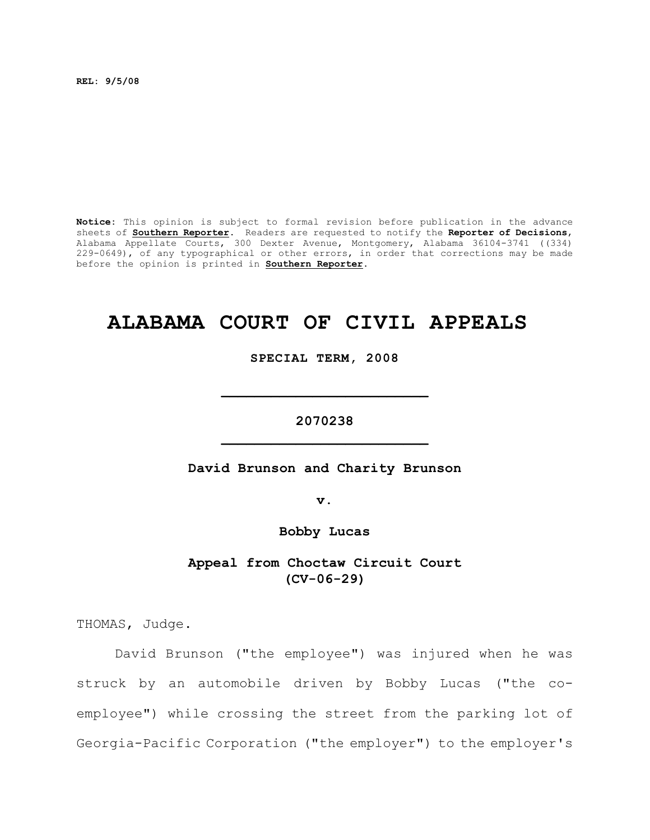**REL: 9/5/08**

**Notice:** This opinion is subject to formal revision before publication in the advance sheets of **Southern Reporter**. Readers are requested to notify the **Reporter of Decisions**, Alabama Appellate Courts, 300 Dexter Avenue, Montgomery, Alabama 36104-3741 ((334) 229-0649), of any typographical or other errors, in order that corrections may be made before the opinion is printed in **Southern Reporter**.

# **ALABAMA COURT OF CIVIL APPEALS**

**SPECIAL TERM, 2008**

**2070238 \_\_\_\_\_\_\_\_\_\_\_\_\_\_\_\_\_\_\_\_\_\_\_\_\_**

**\_\_\_\_\_\_\_\_\_\_\_\_\_\_\_\_\_\_\_\_\_\_\_\_\_**

**David Brunson and Charity Brunson**

**v.**

**Bobby Lucas**

**Appeal from Choctaw Circuit Court (CV-06-29)**

THOMAS, Judge.

David Brunson ("the employee") was injured when he was struck by an automobile driven by Bobby Lucas ("the coemployee") while crossing the street from the parking lot of Georgia-Pacific Corporation ("the employer") to the employer's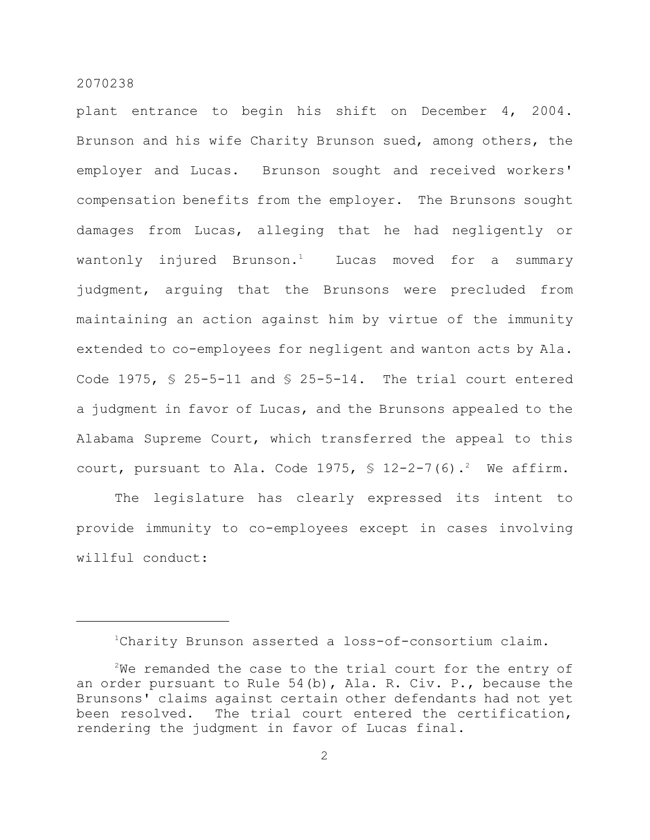plant entrance to begin his shift on December 4, 2004. Brunson and his wife Charity Brunson sued, among others, the employer and Lucas. Brunson sought and received workers' compensation benefits from the employer. The Brunsons sought damages from Lucas, alleging that he had negligently or wantonly injured Brunson.<sup>1</sup> Lucas moved for a summary judgment, arguing that the Brunsons were precluded from maintaining an action against him by virtue of the immunity extended to co-employees for negligent and wanton acts by Ala. Code 1975,  $\sqrt{5}$  25-5-11 and  $\sqrt{5}$  25-5-14. The trial court entered a judgment in favor of Lucas, and the Brunsons appealed to the Alabama Supreme Court, which transferred the appeal to this court, pursuant to Ala. Code 1975,  $\frac{1}{2}$  12-2-7(6).<sup>2</sup> We affirm.

The legislature has clearly expressed its intent to provide immunity to co-employees except in cases involving willful conduct:

Charity Brunson asserted a loss-of-consortium claim. 1

 $2$ We remanded the case to the trial court for the entry of an order pursuant to Rule 54(b), Ala. R. Civ. P., because the Brunsons' claims against certain other defendants had not yet been resolved. The trial court entered the certification, rendering the judgment in favor of Lucas final.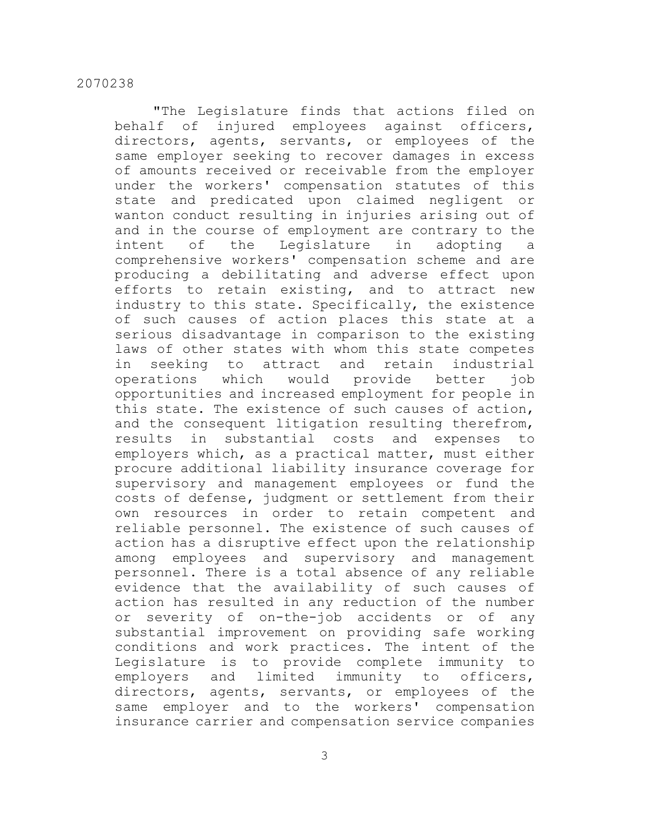"The Legislature finds that actions filed on behalf of injured employees against officers, directors, agents, servants, or employees of the same employer seeking to recover damages in excess of amounts received or receivable from the employer under the workers' compensation statutes of this state and predicated upon claimed negligent or wanton conduct resulting in injuries arising out of and in the course of employment are contrary to the intent of the Legislature in adopting a comprehensive workers' compensation scheme and are producing a debilitating and adverse effect upon efforts to retain existing, and to attract new industry to this state. Specifically, the existence of such causes of action places this state at a serious disadvantage in comparison to the existing laws of other states with whom this state competes in seeking to attract and retain industrial operations which would provide better job opportunities and increased employment for people in this state. The existence of such causes of action, and the consequent litigation resulting therefrom, results in substantial costs and expenses to employers which, as a practical matter, must either procure additional liability insurance coverage for supervisory and management employees or fund the costs of defense, judgment or settlement from their own resources in order to retain competent and reliable personnel. The existence of such causes of action has a disruptive effect upon the relationship among employees and supervisory and management personnel. There is a total absence of any reliable evidence that the availability of such causes of action has resulted in any reduction of the number or severity of on-the-job accidents or of any substantial improvement on providing safe working conditions and work practices. The intent of the Legislature is to provide complete immunity to employers and limited immunity to officers, directors, agents, servants, or employees of the same employer and to the workers' compensation insurance carrier and compensation service companies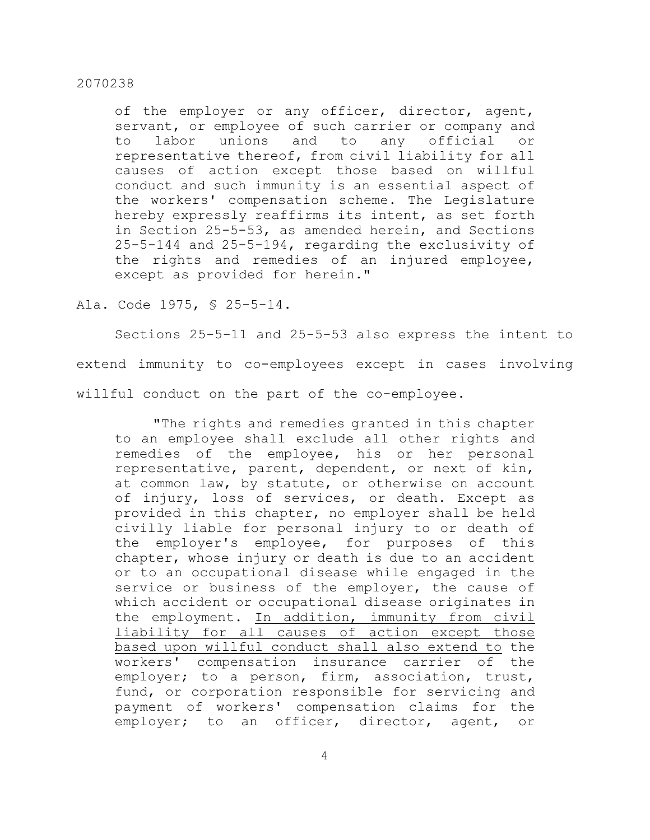of the employer or any officer, director, agent, servant, or employee of such carrier or company and to labor unions and to any official or representative thereof, from civil liability for all causes of action except those based on willful conduct and such immunity is an essential aspect of the workers' compensation scheme. The Legislature hereby expressly reaffirms its intent, as set forth in Section 25-5-53, as amended herein, and Sections 25-5-144 and 25-5-194, regarding the exclusivity of the rights and remedies of an injured employee, except as provided for herein."

Ala. Code 1975, § 25-5-14.

Sections 25-5-11 and 25-5-53 also express the intent to extend immunity to co-employees except in cases involving willful conduct on the part of the co-employee.

"The rights and remedies granted in this chapter to an employee shall exclude all other rights and remedies of the employee, his or her personal representative, parent, dependent, or next of kin, at common law, by statute, or otherwise on account of injury, loss of services, or death. Except as provided in this chapter, no employer shall be held civilly liable for personal injury to or death of the employer's employee, for purposes of this chapter, whose injury or death is due to an accident or to an occupational disease while engaged in the service or business of the employer, the cause of which accident or occupational disease originates in the employment. In addition, immunity from civil liability for all causes of action except those based upon willful conduct shall also extend to the workers' compensation insurance carrier of the employer; to a person, firm, association, trust, fund, or corporation responsible for servicing and payment of workers' compensation claims for the employer; to an officer, director, agent, or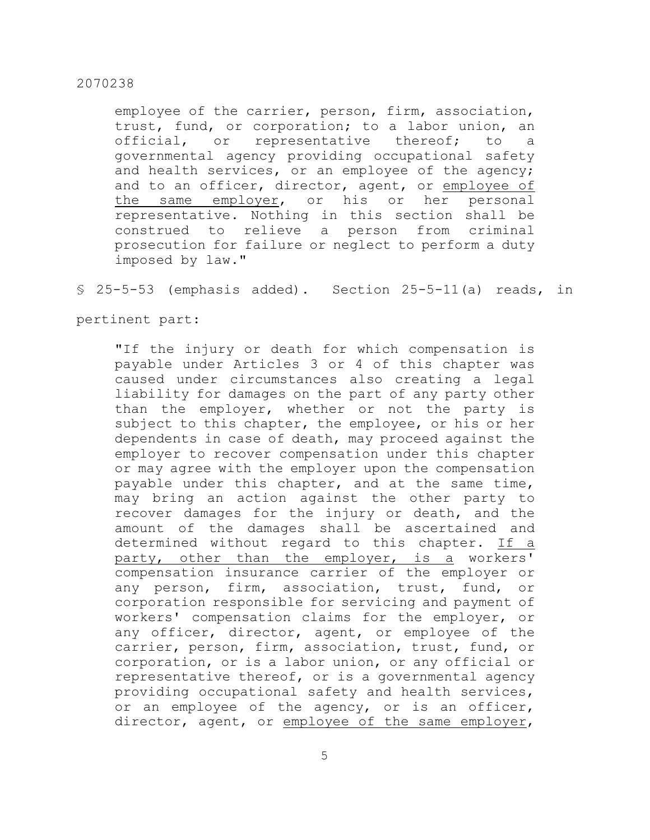employee of the carrier, person, firm, association, trust, fund, or corporation; to a labor union, an official, or representative thereof; to a governmental agency providing occupational safety and health services, or an employee of the agency; and to an officer, director, agent, or employee of the same employer, or his or her personal representative. Nothing in this section shall be construed to relieve a person from criminal prosecution for failure or neglect to perform a duty imposed by law."

§ 25-5-53 (emphasis added). Section 25-5-11(a) reads, in

pertinent part:

"If the injury or death for which compensation is payable under Articles 3 or 4 of this chapter was caused under circumstances also creating a legal liability for damages on the part of any party other than the employer, whether or not the party is subject to this chapter, the employee, or his or her dependents in case of death, may proceed against the employer to recover compensation under this chapter or may agree with the employer upon the compensation payable under this chapter, and at the same time, may bring an action against the other party to recover damages for the injury or death, and the amount of the damages shall be ascertained and determined without regard to this chapter. If a party, other than the employer, is a workers' compensation insurance carrier of the employer or any person, firm, association, trust, fund, or corporation responsible for servicing and payment of workers' compensation claims for the employer, or any officer, director, agent, or employee of the carrier, person, firm, association, trust, fund, or corporation, or is a labor union, or any official or representative thereof, or is a governmental agency providing occupational safety and health services, or an employee of the agency, or is an officer, director, agent, or employee of the same employer,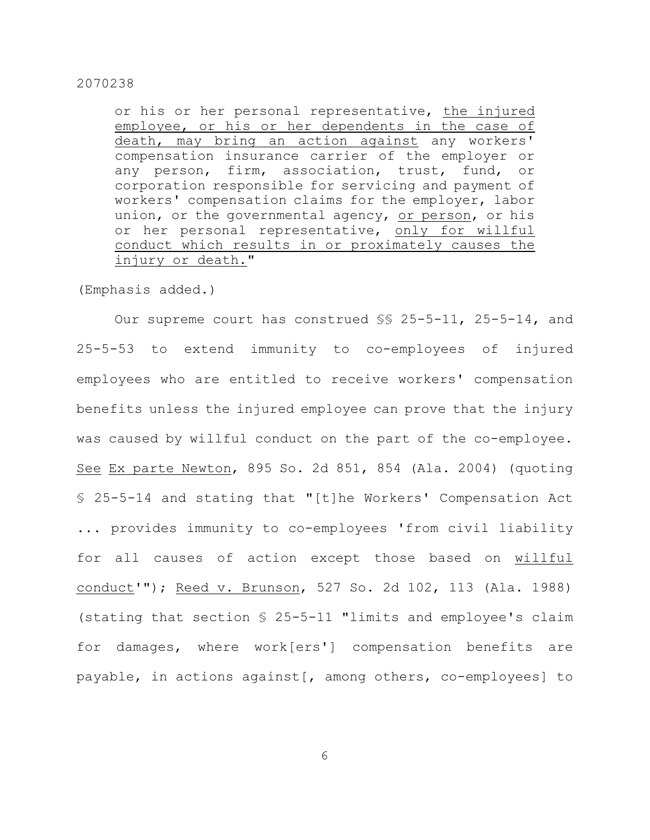or his or her personal representative, the injured employee, or his or her dependents in the case of death, may bring an action against any workers' compensation insurance carrier of the employer or any person, firm, association, trust, fund, or corporation responsible for servicing and payment of workers' compensation claims for the employer, labor union, or the governmental agency, or person, or his or her personal representative, only for willful conduct which results in or proximately causes the injury or death."

(Emphasis added.)

Our supreme court has construed §§ 25-5-11, 25-5-14, and 25-5-53 to extend immunity to co-employees of injured employees who are entitled to receive workers' compensation benefits unless the injured employee can prove that the injury was caused by willful conduct on the part of the co-employee. See Ex parte Newton, 895 So. 2d 851, 854 (Ala. 2004) (quoting § 25-5-14 and stating that "[t]he Workers' Compensation Act ... provides immunity to co-employees 'from civil liability for all causes of action except those based on willful conduct'"); Reed v. Brunson, 527 So. 2d 102, 113 (Ala. 1988) (stating that section § 25-5-11 "limits and employee's claim for damages, where work[ers'] compensation benefits are payable, in actions against[, among others, co-employees] to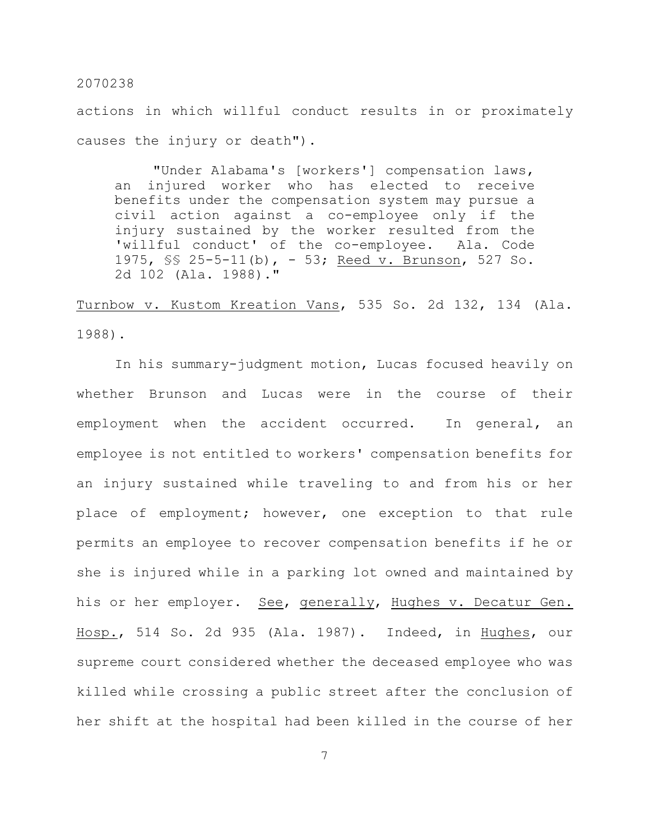actions in which willful conduct results in or proximately causes the injury or death").

"Under Alabama's [workers'] compensation laws, an injured worker who has elected to receive benefits under the compensation system may pursue a civil action against a co-employee only if the injury sustained by the worker resulted from the 'willful conduct' of the co-employee. Ala. Code 1975, §§ 25-5-11(b), - 53; Reed v. Brunson, 527 So. 2d 102 (Ala. 1988)."

Turnbow v. Kustom Kreation Vans, 535 So. 2d 132, 134 (Ala. 1988).

In his summary-judgment motion, Lucas focused heavily on whether Brunson and Lucas were in the course of their employment when the accident occurred. In general, an employee is not entitled to workers' compensation benefits for an injury sustained while traveling to and from his or her place of employment; however, one exception to that rule permits an employee to recover compensation benefits if he or she is injured while in a parking lot owned and maintained by his or her employer. See, generally, Hughes v. Decatur Gen. Hosp., 514 So. 2d 935 (Ala. 1987). Indeed, in Hughes, our supreme court considered whether the deceased employee who was killed while crossing a public street after the conclusion of her shift at the hospital had been killed in the course of her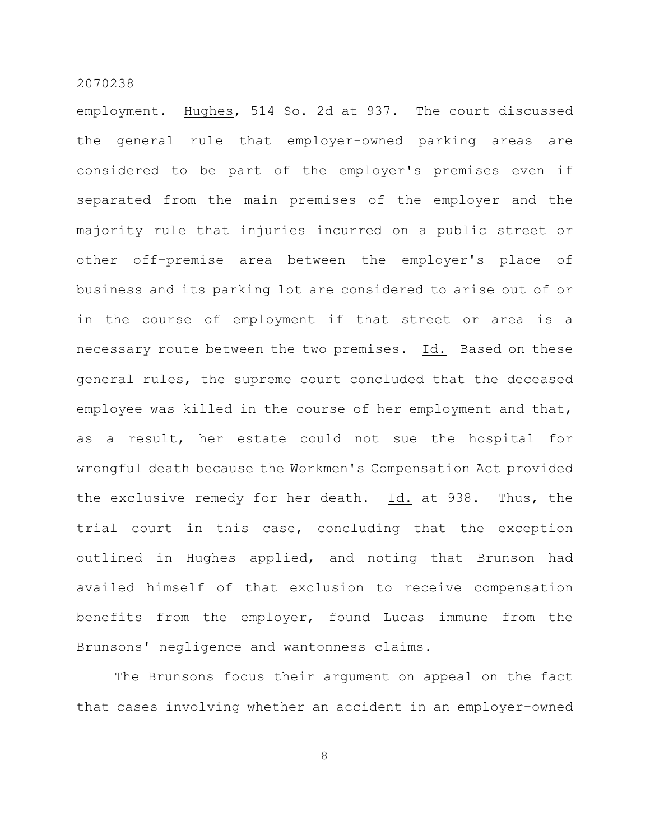employment. Hughes, 514 So. 2d at 937. The court discussed the general rule that employer-owned parking areas are considered to be part of the employer's premises even if separated from the main premises of the employer and the majority rule that injuries incurred on a public street or other off-premise area between the employer's place of business and its parking lot are considered to arise out of or in the course of employment if that street or area is a necessary route between the two premises. Id. Based on these general rules, the supreme court concluded that the deceased employee was killed in the course of her employment and that, as a result, her estate could not sue the hospital for wrongful death because the Workmen's Compensation Act provided the exclusive remedy for her death. Id. at 938. Thus, the trial court in this case, concluding that the exception outlined in Hughes applied, and noting that Brunson had availed himself of that exclusion to receive compensation benefits from the employer, found Lucas immune from the Brunsons' negligence and wantonness claims.

The Brunsons focus their argument on appeal on the fact that cases involving whether an accident in an employer-owned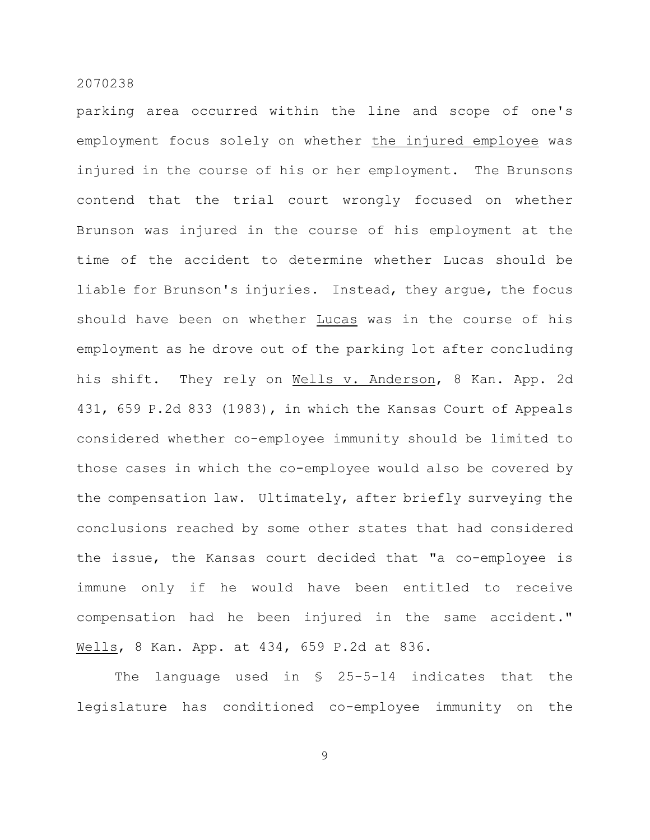parking area occurred within the line and scope of one's employment focus solely on whether the injured employee was injured in the course of his or her employment. The Brunsons contend that the trial court wrongly focused on whether Brunson was injured in the course of his employment at the time of the accident to determine whether Lucas should be liable for Brunson's injuries. Instead, they argue, the focus should have been on whether Lucas was in the course of his employment as he drove out of the parking lot after concluding his shift. They rely on Wells v. Anderson, 8 Kan. App. 2d 431, 659 P.2d 833 (1983), in which the Kansas Court of Appeals considered whether co-employee immunity should be limited to those cases in which the co-employee would also be covered by the compensation law. Ultimately, after briefly surveying the conclusions reached by some other states that had considered the issue, the Kansas court decided that "a co-employee is immune only if he would have been entitled to receive compensation had he been injured in the same accident." Wells, 8 Kan. App. at 434, 659 P.2d at 836.

The language used in § 25-5-14 indicates that the legislature has conditioned co-employee immunity on the